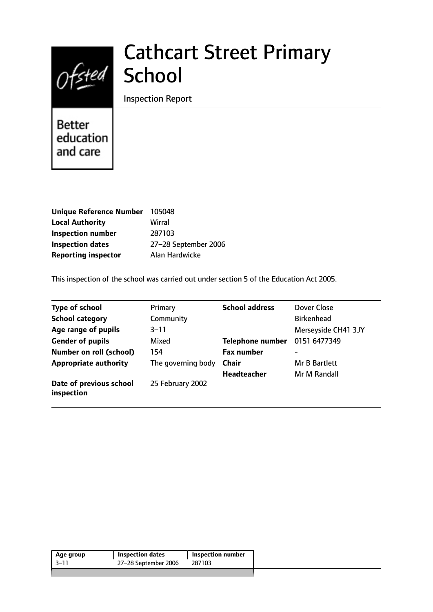# Ofsted School

# Cathcart Street Primary

Inspection Report

Better education and care

| <b>Unique Reference Number</b> | 105048               |
|--------------------------------|----------------------|
| <b>Local Authority</b>         | Wirral               |
| <b>Inspection number</b>       | 287103               |
| <b>Inspection dates</b>        | 27-28 September 2006 |
| <b>Reporting inspector</b>     | Alan Hardwicke       |

This inspection of the school was carried out under section 5 of the Education Act 2005.

| <b>Type of school</b>                 | Primary            | <b>School address</b>   | Dover Close         |
|---------------------------------------|--------------------|-------------------------|---------------------|
| <b>School category</b>                | Community          |                         | <b>Birkenhead</b>   |
| Age range of pupils                   | $3 - 11$           |                         | Merseyside CH41 3JY |
| <b>Gender of pupils</b>               | Mixed              | <b>Telephone number</b> | 0151 6477349        |
| <b>Number on roll (school)</b>        | 154                | <b>Fax number</b>       | -                   |
| <b>Appropriate authority</b>          | The governing body | <b>Chair</b>            | Mr B Bartlett       |
|                                       |                    | <b>Headteacher</b>      | Mr M Randall        |
| Date of previous school<br>inspection | 25 February 2002   |                         |                     |

| Age group | <b>Inspection dates</b> | <b>Inspection number</b> |
|-----------|-------------------------|--------------------------|
| -3–11     | 27-28 September 2006    | 287103                   |
|           |                         |                          |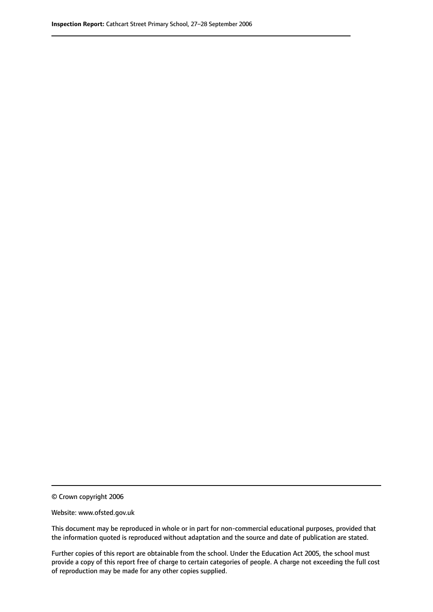© Crown copyright 2006

Website: www.ofsted.gov.uk

This document may be reproduced in whole or in part for non-commercial educational purposes, provided that the information quoted is reproduced without adaptation and the source and date of publication are stated.

Further copies of this report are obtainable from the school. Under the Education Act 2005, the school must provide a copy of this report free of charge to certain categories of people. A charge not exceeding the full cost of reproduction may be made for any other copies supplied.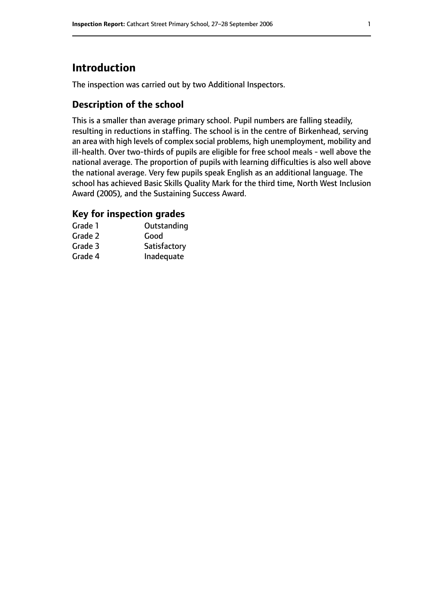# **Introduction**

The inspection was carried out by two Additional Inspectors.

## **Description of the school**

This is a smaller than average primary school. Pupil numbers are falling steadily, resulting in reductions in staffing. The school is in the centre of Birkenhead, serving an area with high levels of complex social problems, high unemployment, mobility and ill-health. Over two-thirds of pupils are eligible for free school meals - well above the national average. The proportion of pupils with learning difficulties is also well above the national average. Very few pupils speak English as an additional language. The school has achieved Basic Skills Quality Mark for the third time, North West Inclusion Award (2005), and the Sustaining Success Award.

### **Key for inspection grades**

| Grade 1 | Outstanding  |
|---------|--------------|
| Grade 2 | Good         |
| Grade 3 | Satisfactory |
| Grade 4 | Inadequate   |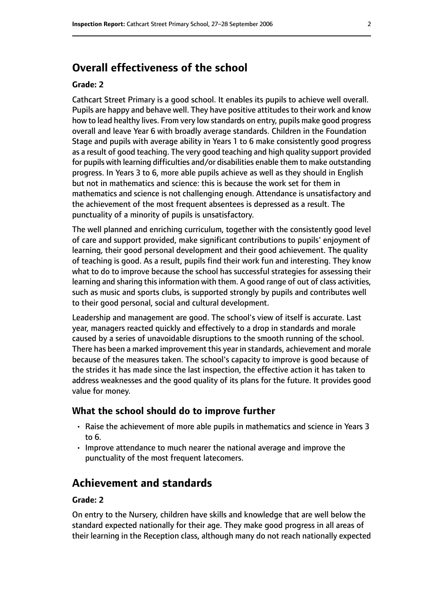# **Overall effectiveness of the school**

#### **Grade: 2**

Cathcart Street Primary is a good school. It enables its pupils to achieve well overall. Pupils are happy and behave well. They have positive attitudes to their work and know how to lead healthy lives. From very low standards on entry, pupils make good progress overall and leave Year 6 with broadly average standards. Children in the Foundation Stage and pupils with average ability in Years 1 to 6 make consistently good progress as a result of good teaching. The very good teaching and high quality support provided for pupils with learning difficulties and/or disabilities enable them to make outstanding progress. In Years 3 to 6, more able pupils achieve as well as they should in English but not in mathematics and science: this is because the work set for them in mathematics and science is not challenging enough. Attendance is unsatisfactory and the achievement of the most frequent absentees is depressed as a result. The punctuality of a minority of pupils is unsatisfactory.

The well planned and enriching curriculum, together with the consistently good level of care and support provided, make significant contributions to pupils' enjoyment of learning, their good personal development and their good achievement. The quality of teaching is good. As a result, pupils find their work fun and interesting. They know what to do to improve because the school has successful strategies for assessing their learning and sharing this information with them. A good range of out of class activities, such as music and sports clubs, is supported strongly by pupils and contributes well to their good personal, social and cultural development.

Leadership and management are good. The school's view of itself is accurate. Last year, managers reacted quickly and effectively to a drop in standards and morale caused by a series of unavoidable disruptions to the smooth running of the school. There has been a marked improvement this year in standards, achievement and morale because of the measures taken. The school's capacity to improve is good because of the strides it has made since the last inspection, the effective action it has taken to address weaknesses and the good quality of its plans for the future. It provides good value for money.

#### **What the school should do to improve further**

- Raise the achievement of more able pupils in mathematics and science in Years 3 to 6.
- Improve attendance to much nearer the national average and improve the punctuality of the most frequent latecomers.

# **Achievement and standards**

#### **Grade: 2**

On entry to the Nursery, children have skills and knowledge that are well below the standard expected nationally for their age. They make good progress in all areas of their learning in the Reception class, although many do not reach nationally expected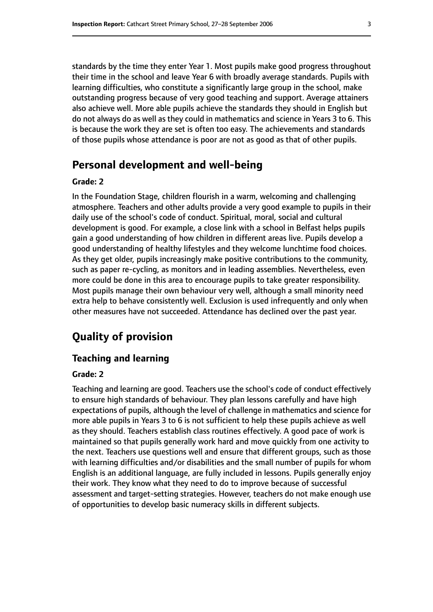standards by the time they enter Year 1. Most pupils make good progress throughout their time in the school and leave Year 6 with broadly average standards. Pupils with learning difficulties, who constitute a significantly large group in the school, make outstanding progress because of very good teaching and support. Average attainers also achieve well. More able pupils achieve the standards they should in English but do not always do as well as they could in mathematics and science in Years 3 to 6. This is because the work they are set is often too easy. The achievements and standards of those pupils whose attendance is poor are not as good as that of other pupils.

# **Personal development and well-being**

#### **Grade: 2**

In the Foundation Stage, children flourish in a warm, welcoming and challenging atmosphere. Teachers and other adults provide a very good example to pupils in their daily use of the school's code of conduct. Spiritual, moral, social and cultural development is good. For example, a close link with a school in Belfast helps pupils gain a good understanding of how children in different areas live. Pupils develop a good understanding of healthy lifestyles and they welcome lunchtime food choices. As they get older, pupils increasingly make positive contributions to the community, such as paper re-cycling, as monitors and in leading assemblies. Nevertheless, even more could be done in this area to encourage pupils to take greater responsibility. Most pupils manage their own behaviour very well, although a small minority need extra help to behave consistently well. Exclusion is used infrequently and only when other measures have not succeeded. Attendance has declined over the past year.

# **Quality of provision**

#### **Teaching and learning**

#### **Grade: 2**

Teaching and learning are good. Teachers use the school's code of conduct effectively to ensure high standards of behaviour. They plan lessons carefully and have high expectations of pupils, although the level of challenge in mathematics and science for more able pupils in Years 3 to 6 is not sufficient to help these pupils achieve as well as they should. Teachers establish class routines effectively. A good pace of work is maintained so that pupils generally work hard and move quickly from one activity to the next. Teachers use questions well and ensure that different groups, such as those with learning difficulties and/or disabilities and the small number of pupils for whom English is an additional language, are fully included in lessons. Pupils generally enjoy their work. They know what they need to do to improve because of successful assessment and target-setting strategies. However, teachers do not make enough use of opportunities to develop basic numeracy skills in different subjects.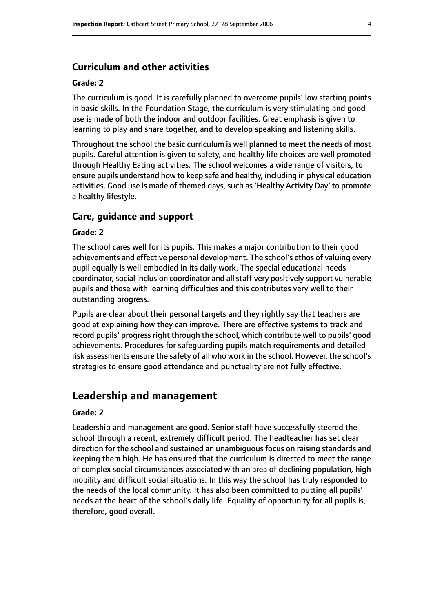#### **Curriculum and other activities**

#### **Grade: 2**

The curriculum is good. It is carefully planned to overcome pupils' low starting points in basic skills. In the Foundation Stage, the curriculum is very stimulating and good use is made of both the indoor and outdoor facilities. Great emphasis is given to learning to play and share together, and to develop speaking and listening skills.

Throughout the school the basic curriculum is well planned to meet the needs of most pupils. Careful attention is given to safety, and healthy life choices are well promoted through Healthy Eating activities. The school welcomes a wide range of visitors, to ensure pupils understand how to keep safe and healthy, including in physical education activities. Good use is made of themed days, such as 'Healthy Activity Day' to promote a healthy lifestyle.

#### **Care, guidance and support**

#### **Grade: 2**

The school cares well for its pupils. This makes a major contribution to their good achievements and effective personal development. The school's ethos of valuing every pupil equally is well embodied in its daily work. The special educational needs coordinator, social inclusion coordinator and all staff very positively support vulnerable pupils and those with learning difficulties and this contributes very well to their outstanding progress.

Pupils are clear about their personal targets and they rightly say that teachers are good at explaining how they can improve. There are effective systems to track and record pupils' progress right through the school, which contribute well to pupils' good achievements. Procedures for safeguarding pupils match requirements and detailed risk assessments ensure the safety of all who work in the school. However, the school's strategies to ensure good attendance and punctuality are not fully effective.

### **Leadership and management**

#### **Grade: 2**

Leadership and management are good. Senior staff have successfully steered the school through a recent, extremely difficult period. The headteacher has set clear direction for the school and sustained an unambiguous focus on raising standards and keeping them high. He has ensured that the curriculum is directed to meet the range of complex social circumstances associated with an area of declining population, high mobility and difficult social situations. In this way the school has truly responded to the needs of the local community. It has also been committed to putting all pupils' needs at the heart of the school's daily life. Equality of opportunity for all pupils is, therefore, good overall.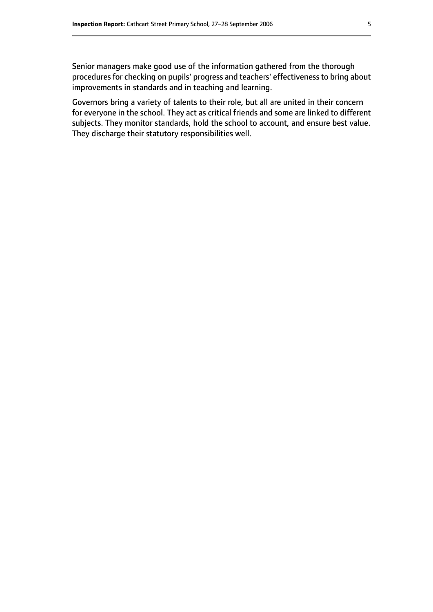Senior managers make good use of the information gathered from the thorough procedures for checking on pupils' progress and teachers' effectiveness to bring about improvements in standards and in teaching and learning.

Governors bring a variety of talents to their role, but all are united in their concern for everyone in the school. They act as critical friends and some are linked to different subjects. They monitor standards, hold the school to account, and ensure best value. They discharge their statutory responsibilities well.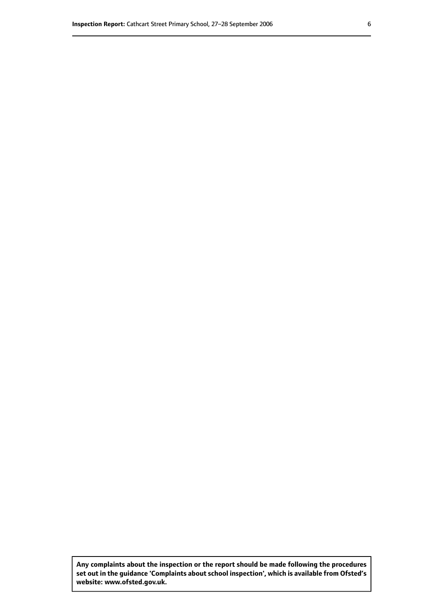**Any complaints about the inspection or the report should be made following the procedures set out inthe guidance 'Complaints about school inspection', whichis available from Ofsted's website: www.ofsted.gov.uk.**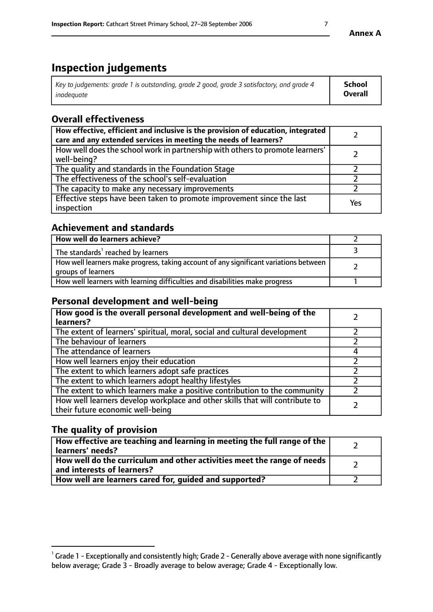# **Inspection judgements**

| Key to judgements: grade 1 is outstanding, grade 2 good, grade 3 satisfactory, and grade 4 | School  |
|--------------------------------------------------------------------------------------------|---------|
| inadeauate                                                                                 | Overall |

# **Overall effectiveness**

| How effective, efficient and inclusive is the provision of education, integrated<br>care and any extended services in meeting the needs of learners? |     |
|------------------------------------------------------------------------------------------------------------------------------------------------------|-----|
| How well does the school work in partnership with others to promote learners'<br>well-being?                                                         |     |
| The quality and standards in the Foundation Stage                                                                                                    |     |
| The effectiveness of the school's self-evaluation                                                                                                    |     |
| The capacity to make any necessary improvements                                                                                                      |     |
| Effective steps have been taken to promote improvement since the last<br>inspection                                                                  | Yes |

## **Achievement and standards**

| How well do learners achieve?                                                                                            |  |
|--------------------------------------------------------------------------------------------------------------------------|--|
| The standards <sup>1</sup> reached by learners                                                                           |  |
| How well learners make progress, taking account of any significant variations between<br><sup>1</sup> groups of learners |  |
| How well learners with learning difficulties and disabilities make progress                                              |  |

## **Personal development and well-being**

| How good is the overall personal development and well-being of the<br>learners?                                  |  |
|------------------------------------------------------------------------------------------------------------------|--|
| The extent of learners' spiritual, moral, social and cultural development                                        |  |
| The behaviour of learners                                                                                        |  |
| The attendance of learners                                                                                       |  |
| How well learners enjoy their education                                                                          |  |
| The extent to which learners adopt safe practices                                                                |  |
| The extent to which learners adopt healthy lifestyles                                                            |  |
| The extent to which learners make a positive contribution to the community                                       |  |
| How well learners develop workplace and other skills that will contribute to<br>their future economic well-being |  |

# **The quality of provision**

| How effective are teaching and learning in meeting the full range of the<br>learners' needs?          |  |
|-------------------------------------------------------------------------------------------------------|--|
| How well do the curriculum and other activities meet the range of needs<br>and interests of learners? |  |
| How well are learners cared for, guided and supported?                                                |  |

 $^1$  Grade 1 - Exceptionally and consistently high; Grade 2 - Generally above average with none significantly below average; Grade 3 - Broadly average to below average; Grade 4 - Exceptionally low.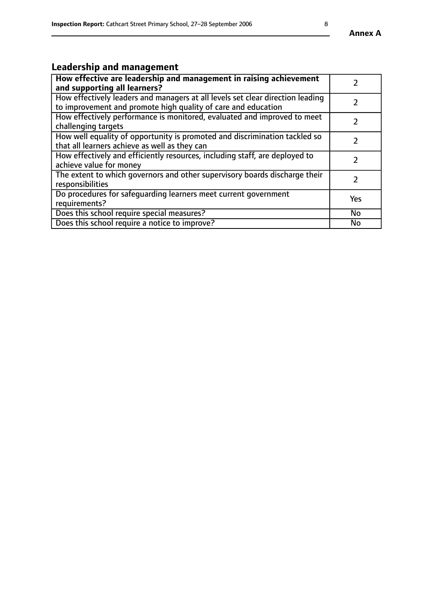# **Leadership and management**

| How effective are leadership and management in raising achievement<br>and supporting all learners?                                              |     |
|-------------------------------------------------------------------------------------------------------------------------------------------------|-----|
| How effectively leaders and managers at all levels set clear direction leading<br>to improvement and promote high quality of care and education |     |
| How effectively performance is monitored, evaluated and improved to meet<br>challenging targets                                                 |     |
| How well equality of opportunity is promoted and discrimination tackled so<br>that all learners achieve as well as they can                     |     |
| How effectively and efficiently resources, including staff, are deployed to<br>achieve value for money                                          | 7   |
| The extent to which governors and other supervisory boards discharge their<br>responsibilities                                                  |     |
| Do procedures for safequarding learners meet current government<br>requirements?                                                                | Yes |
| Does this school require special measures?                                                                                                      | No  |
| Does this school require a notice to improve?                                                                                                   | No  |